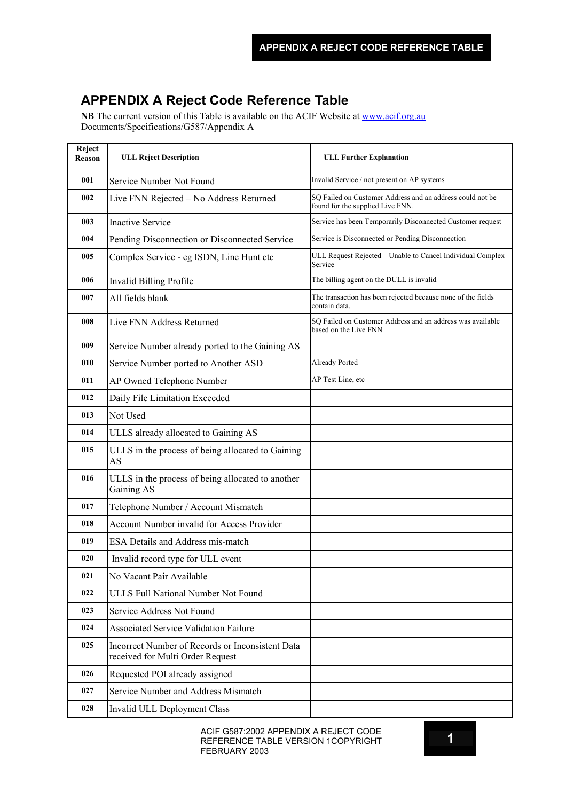## **APPENDIX A Reject Code Reference Table**

**NB** The current version of this Table is available on the ACIF Website at [www.acif.org.au](http://www.acif.org.au/) Documents/Specifications/G587/Appendix A

| Reject<br>Reason | <b>ULL Reject Description</b>                                                        | <b>ULL Further Explanation</b>                                                                |
|------------------|--------------------------------------------------------------------------------------|-----------------------------------------------------------------------------------------------|
| 001              | Service Number Not Found                                                             | Invalid Service / not present on AP systems                                                   |
| 002              | Live FNN Rejected - No Address Returned                                              | SQ Failed on Customer Address and an address could not be<br>found for the supplied Live FNN. |
| 003              | <b>Inactive Service</b>                                                              | Service has been Temporarily Disconnected Customer request                                    |
| 004              | Pending Disconnection or Disconnected Service                                        | Service is Disconnected or Pending Disconnection                                              |
| 005              | Complex Service - eg ISDN, Line Hunt etc                                             | ULL Request Rejected - Unable to Cancel Individual Complex<br>Service                         |
| 006              | Invalid Billing Profile                                                              | The billing agent on the DULL is invalid                                                      |
| 007              | All fields blank                                                                     | The transaction has been rejected because none of the fields<br>contain data.                 |
| 008              | Live FNN Address Returned                                                            | SQ Failed on Customer Address and an address was available<br>based on the Live FNN           |
| 009              | Service Number already ported to the Gaining AS                                      |                                                                                               |
| 010              | Service Number ported to Another ASD                                                 | Already Ported                                                                                |
| 011              | AP Owned Telephone Number                                                            | AP Test Line, etc                                                                             |
| 012              | Daily File Limitation Exceeded                                                       |                                                                                               |
| 013              | Not Used                                                                             |                                                                                               |
| 014              | ULLS already allocated to Gaining AS                                                 |                                                                                               |
| 015              | ULLS in the process of being allocated to Gaining<br><b>AS</b>                       |                                                                                               |
| 016              | ULLS in the process of being allocated to another<br>Gaining AS                      |                                                                                               |
| 017              | Telephone Number / Account Mismatch                                                  |                                                                                               |
| 018              | Account Number invalid for Access Provider                                           |                                                                                               |
| 019              | ESA Details and Address mis-match                                                    |                                                                                               |
| 020              | Invalid record type for ULL event                                                    |                                                                                               |
| 021              | No Vacant Pair Available                                                             |                                                                                               |
| 022              | <b>ULLS Full National Number Not Found</b>                                           |                                                                                               |
| 023              | Service Address Not Found                                                            |                                                                                               |
| 024              | <b>Associated Service Validation Failure</b>                                         |                                                                                               |
| 025              | Incorrect Number of Records or Inconsistent Data<br>received for Multi Order Request |                                                                                               |
| 026              | Requested POI already assigned                                                       |                                                                                               |
| 027              | Service Number and Address Mismatch                                                  |                                                                                               |
| 028              | Invalid ULL Deployment Class                                                         |                                                                                               |

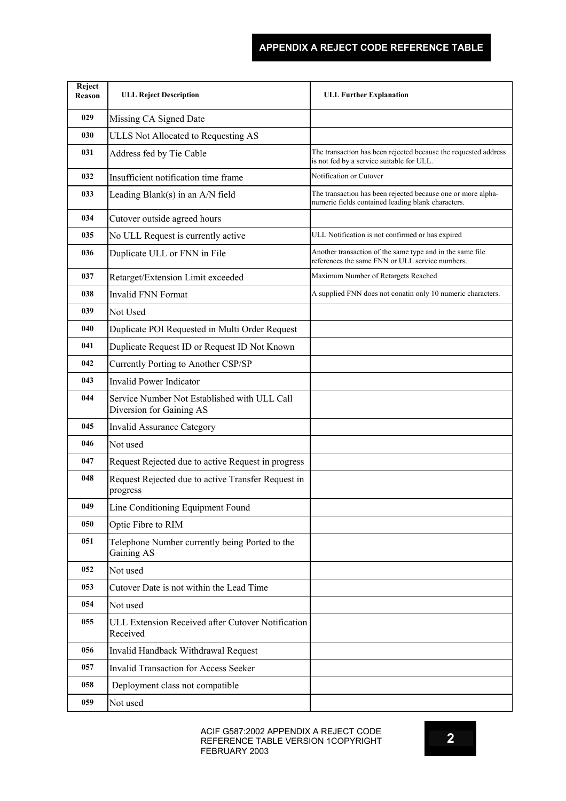## **APPENDIX A REJECT CODE REFERENCE TABLE**

| Reject<br>Reason | <b>ULL Reject Description</b>                                            | <b>ULL Further Explanation</b>                                                                                     |
|------------------|--------------------------------------------------------------------------|--------------------------------------------------------------------------------------------------------------------|
| 029              | Missing CA Signed Date                                                   |                                                                                                                    |
| 030              | ULLS Not Allocated to Requesting AS                                      |                                                                                                                    |
| 031              | Address fed by Tie Cable                                                 | The transaction has been rejected because the requested address<br>is not fed by a service suitable for ULL.       |
| 032              | Insufficient notification time frame                                     | Notification or Cutover                                                                                            |
| 033              | Leading Blank(s) in an A/N field                                         | The transaction has been rejected because one or more alpha-<br>numeric fields contained leading blank characters. |
| 034              | Cutover outside agreed hours                                             |                                                                                                                    |
| 035              | No ULL Request is currently active                                       | ULL Notification is not confirmed or has expired                                                                   |
| 036              | Duplicate ULL or FNN in File                                             | Another transaction of the same type and in the same file<br>references the same FNN or ULL service numbers.       |
| 037              | Retarget/Extension Limit exceeded                                        | Maximum Number of Retargets Reached                                                                                |
| 038              | <b>Invalid FNN Format</b>                                                | A supplied FNN does not conatin only 10 numeric characters.                                                        |
| 039              | Not Used                                                                 |                                                                                                                    |
| 040              | Duplicate POI Requested in Multi Order Request                           |                                                                                                                    |
| 041              | Duplicate Request ID or Request ID Not Known                             |                                                                                                                    |
| 042              | Currently Porting to Another CSP/SP                                      |                                                                                                                    |
| 043              | <b>Invalid Power Indicator</b>                                           |                                                                                                                    |
| 044              | Service Number Not Established with ULL Call<br>Diversion for Gaining AS |                                                                                                                    |
| 045              | <b>Invalid Assurance Category</b>                                        |                                                                                                                    |
| 046              | Not used                                                                 |                                                                                                                    |
| 047              | Request Rejected due to active Request in progress                       |                                                                                                                    |
| 048              | Request Rejected due to active Transfer Request in<br>progress           |                                                                                                                    |
| 049              | Line Conditioning Equipment Found                                        |                                                                                                                    |
| 050              | Optic Fibre to RIM                                                       |                                                                                                                    |
| 051              | Telephone Number currently being Ported to the<br>Gaining AS             |                                                                                                                    |
| 052              | Not used                                                                 |                                                                                                                    |
| 053              | Cutover Date is not within the Lead Time                                 |                                                                                                                    |
| 054              | Not used                                                                 |                                                                                                                    |
| 055              | ULL Extension Received after Cutover Notification<br>Received            |                                                                                                                    |
| 056              | Invalid Handback Withdrawal Request                                      |                                                                                                                    |
| 057              | <b>Invalid Transaction for Access Seeker</b>                             |                                                                                                                    |
| 058              | Deployment class not compatible                                          |                                                                                                                    |
| 059              | Not used                                                                 |                                                                                                                    |